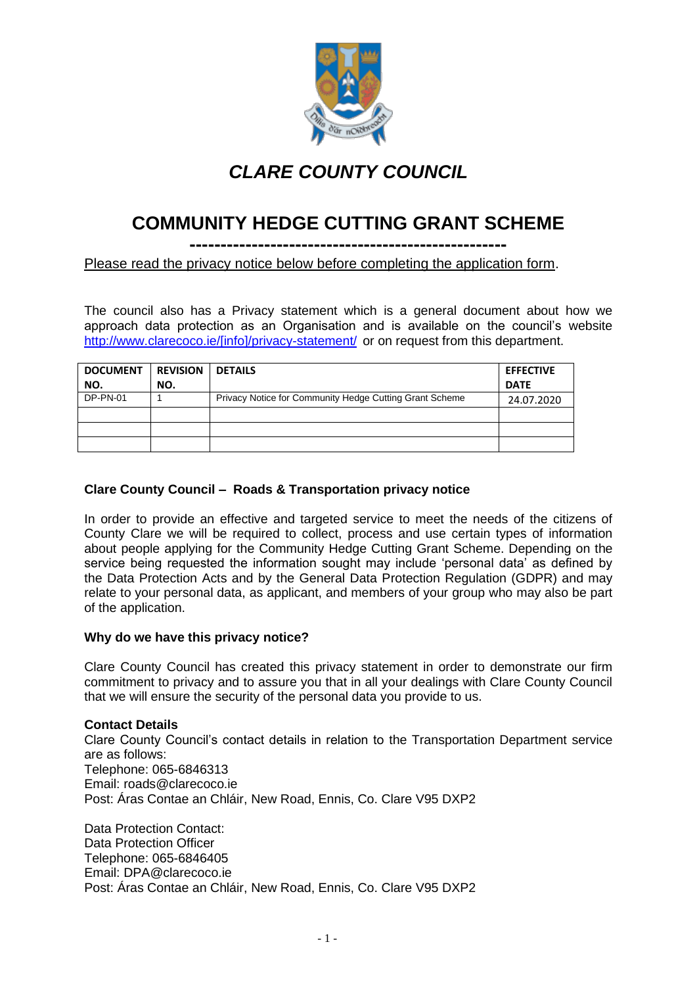

## *CLARE COUNTY COUNCIL*

# **COMMUNITY HEDGE CUTTING GRANT SCHEME**

**---------------------------------------------------**

Please read the privacy notice below before completing the application form.

The council also has a Privacy statement which is a general document about how we approach data protection as an Organisation and is available on the council's website [http://www.clarecoco.ie/\[info\]/privacy-statement/](http://www.clarecoco.ie/%5binfo%5d/privacy-statement/) or on request from this department.

| <b>DOCUMENT</b> | <b>REVISION</b> | <b>DETAILS</b>                                          | <b>EFFECTIVE</b> |
|-----------------|-----------------|---------------------------------------------------------|------------------|
| NO.             | NO.             |                                                         | <b>DATE</b>      |
| DP-PN-01        |                 | Privacy Notice for Community Hedge Cutting Grant Scheme | 24.07.2020       |
|                 |                 |                                                         |                  |
|                 |                 |                                                         |                  |
|                 |                 |                                                         |                  |

#### **Clare County Council – Roads & Transportation privacy notice**

In order to provide an effective and targeted service to meet the needs of the citizens of County Clare we will be required to collect, process and use certain types of information about people applying for the Community Hedge Cutting Grant Scheme. Depending on the service being requested the information sought may include 'personal data' as defined by the Data Protection Acts and by the General Data Protection Regulation (GDPR) and may relate to your personal data, as applicant, and members of your group who may also be part of the application.

#### **Why do we have this privacy notice?**

Clare County Council has created this privacy statement in order to demonstrate our firm commitment to privacy and to assure you that in all your dealings with Clare County Council that we will ensure the security of the personal data you provide to us.

#### **Contact Details**

Clare County Council's contact details in relation to the Transportation Department service are as follows: Telephone: 065-6846313 Email: roads@clarecoco.ie Post: Áras Contae an Chláir, New Road, Ennis, Co. Clare V95 DXP2

Data Protection Contact: Data Protection Officer Telephone: 065-6846405 Email: DPA@clarecoco.ie Post: Áras Contae an Chláir, New Road, Ennis, Co. Clare V95 DXP2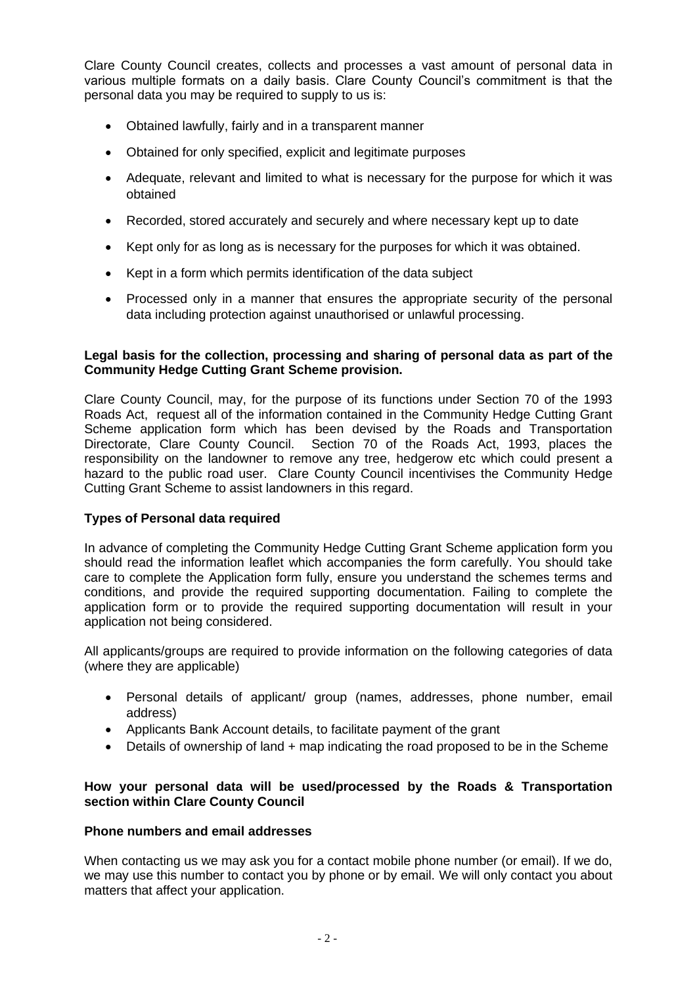Clare County Council creates, collects and processes a vast amount of personal data in various multiple formats on a daily basis. Clare County Council's commitment is that the personal data you may be required to supply to us is:

- Obtained lawfully, fairly and in a transparent manner
- Obtained for only specified, explicit and legitimate purposes
- Adequate, relevant and limited to what is necessary for the purpose for which it was obtained
- Recorded, stored accurately and securely and where necessary kept up to date
- Kept only for as long as is necessary for the purposes for which it was obtained.
- Kept in a form which permits identification of the data subject
- Processed only in a manner that ensures the appropriate security of the personal data including protection against unauthorised or unlawful processing.

#### **Legal basis for the collection, processing and sharing of personal data as part of the Community Hedge Cutting Grant Scheme provision.**

Clare County Council, may, for the purpose of its functions under Section 70 of the 1993 Roads Act, request all of the information contained in the Community Hedge Cutting Grant Scheme application form which has been devised by the Roads and Transportation Directorate, Clare County Council. Section 70 of the Roads Act, 1993, places the responsibility on the landowner to remove any tree, hedgerow etc which could present a hazard to the public road user. Clare County Council incentivises the Community Hedge Cutting Grant Scheme to assist landowners in this regard.

#### **Types of Personal data required**

In advance of completing the Community Hedge Cutting Grant Scheme application form you should read the information leaflet which accompanies the form carefully. You should take care to complete the Application form fully, ensure you understand the schemes terms and conditions, and provide the required supporting documentation. Failing to complete the application form or to provide the required supporting documentation will result in your application not being considered.

All applicants/groups are required to provide information on the following categories of data (where they are applicable)

- Personal details of applicant/ group (names, addresses, phone number, email address)
- Applicants Bank Account details, to facilitate payment of the grant
- Details of ownership of land + map indicating the road proposed to be in the Scheme

#### **How your personal data will be used/processed by the Roads & Transportation section within Clare County Council**

#### **Phone numbers and email addresses**

When contacting us we may ask you for a contact mobile phone number (or email). If we do, we may use this number to contact you by phone or by email. We will only contact you about matters that affect your application.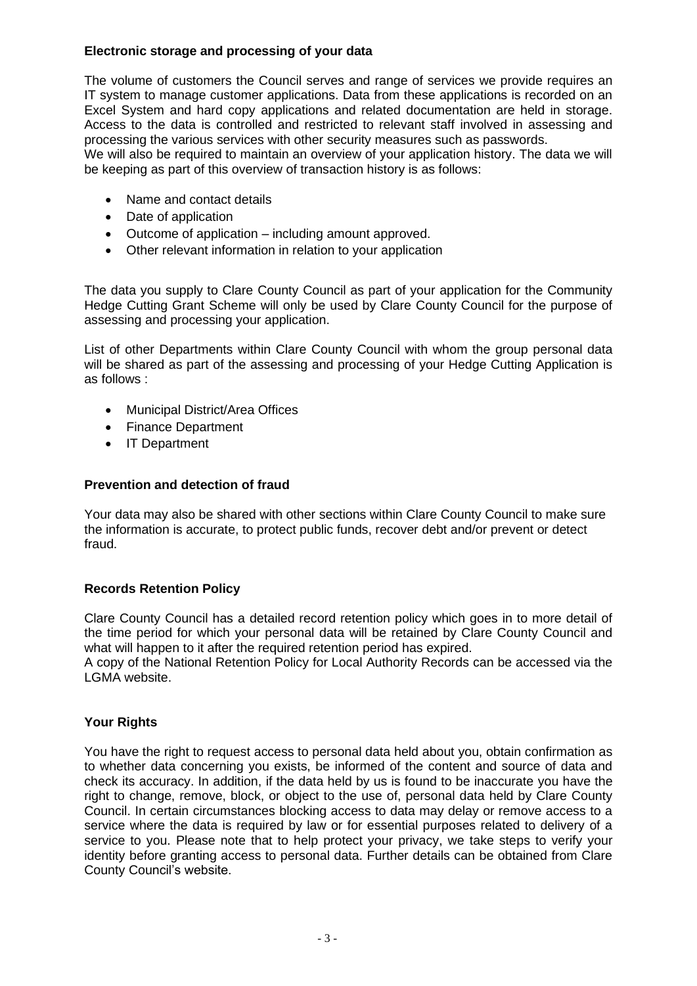### **Electronic storage and processing of your data**

The volume of customers the Council serves and range of services we provide requires an IT system to manage customer applications. Data from these applications is recorded on an Excel System and hard copy applications and related documentation are held in storage. Access to the data is controlled and restricted to relevant staff involved in assessing and processing the various services with other security measures such as passwords.

We will also be required to maintain an overview of your application history. The data we will be keeping as part of this overview of transaction history is as follows:

- Name and contact details
- Date of application
- Outcome of application including amount approved.
- Other relevant information in relation to your application

The data you supply to Clare County Council as part of your application for the Community Hedge Cutting Grant Scheme will only be used by Clare County Council for the purpose of assessing and processing your application.

List of other Departments within Clare County Council with whom the group personal data will be shared as part of the assessing and processing of your Hedge Cutting Application is as follows :

- Municipal District/Area Offices
- Finance Department
- IT Department

#### **Prevention and detection of fraud**

Your data may also be shared with other sections within Clare County Council to make sure the information is accurate, to protect public funds, recover debt and/or prevent or detect fraud.

#### **Records Retention Policy**

Clare County Council has a detailed record retention policy which goes in to more detail of the time period for which your personal data will be retained by Clare County Council and what will happen to it after the required retention period has expired.

A copy of the National Retention Policy for Local Authority Records can be accessed via the LGMA website.

#### **Your Rights**

You have the right to request access to personal data held about you, obtain confirmation as to whether data concerning you exists, be informed of the content and source of data and check its accuracy. In addition, if the data held by us is found to be inaccurate you have the right to change, remove, block, or object to the use of, personal data held by Clare County Council. In certain circumstances blocking access to data may delay or remove access to a service where the data is required by law or for essential purposes related to delivery of a service to you. Please note that to help protect your privacy, we take steps to verify your identity before granting access to personal data. Further details can be obtained from Clare County Council's website.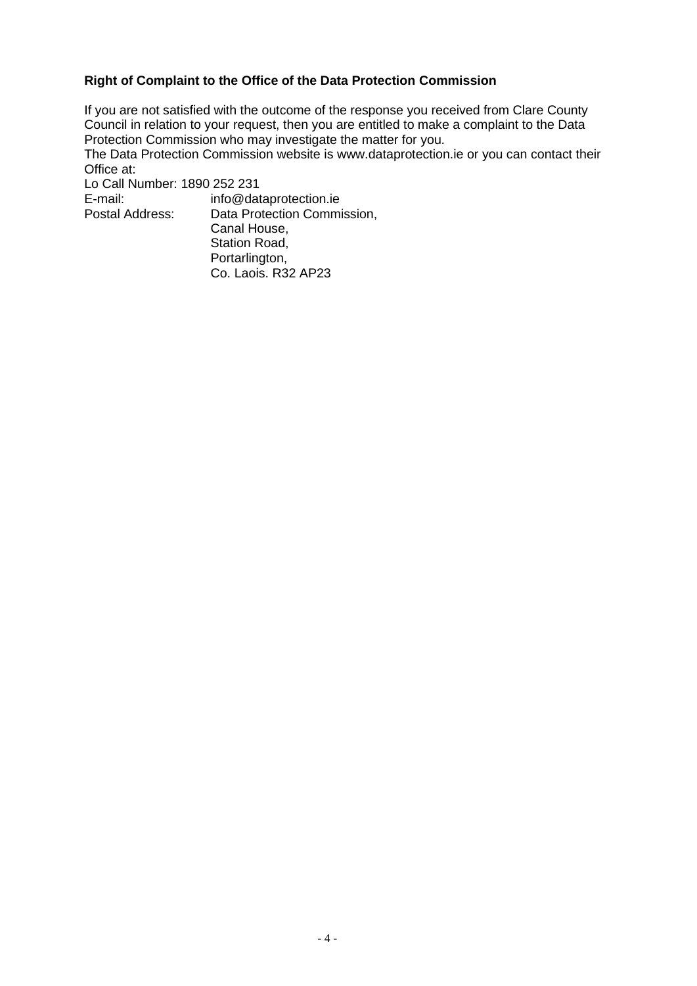#### **Right of Complaint to the Office of the Data Protection Commission**

If you are not satisfied with the outcome of the response you received from Clare County Council in relation to your request, then you are entitled to make a complaint to the Data Protection Commission who may investigate the matter for you.

The Data Protection Commission website is www.dataprotection.ie or you can contact their Office at:

Lo Call Number: 1890 252 231<br>E-mail: info@dat

E-mail: info@dataprotection.ie<br>Postal Address: Data Protection Commi Data Protection Commission, Canal House, Station Road, Portarlington, Co. Laois. R32 AP23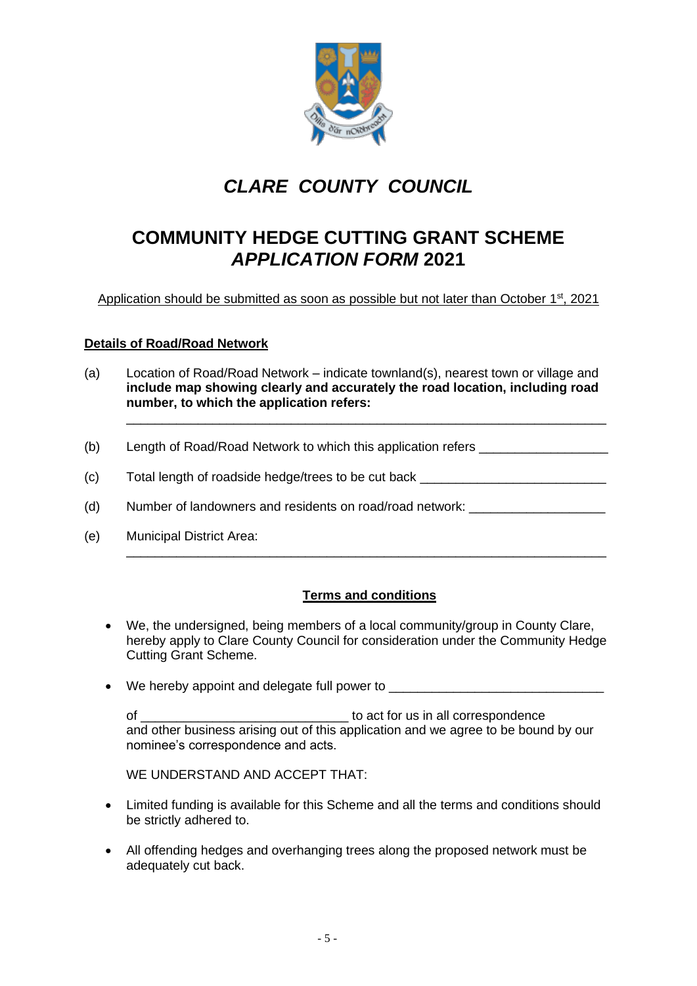

# *CLARE COUNTY COUNCIL*

### **COMMUNITY HEDGE CUTTING GRANT SCHEME** *APPLICATION FORM* **2021**

Application should be submitted as soon as possible but not later than October 1<sup>st</sup>, 2021

#### **Details of Road/Road Network**

(a) Location of Road/Road Network – indicate townland(s), nearest town or village and **include map showing clearly and accurately the road location, including road number, to which the application refers:** 

\_\_\_\_\_\_\_\_\_\_\_\_\_\_\_\_\_\_\_\_\_\_\_\_\_\_\_\_\_\_\_\_\_\_\_\_\_\_\_\_\_\_\_\_\_\_\_\_\_\_\_\_\_\_\_\_\_\_\_\_\_\_\_\_\_\_\_

- (b) Length of Road/Road Network to which this application refers \_\_\_\_\_\_\_\_\_\_\_\_\_\_\_
- (c) Total length of roadside hedge/trees to be cut back \_\_\_\_\_\_\_\_\_\_\_\_\_\_\_\_\_\_\_\_\_\_\_\_
- (d) Number of landowners and residents on road/road network:
- (e) Municipal District Area:

#### **Terms and conditions**

\_\_\_\_\_\_\_\_\_\_\_\_\_\_\_\_\_\_\_\_\_\_\_\_\_\_\_\_\_\_\_\_\_\_\_\_\_\_\_\_\_\_\_\_\_\_\_\_\_\_\_\_\_\_\_\_\_\_\_\_\_\_\_\_\_\_\_

- We, the undersigned, being members of a local community/group in County Clare, hereby apply to Clare County Council for consideration under the Community Hedge Cutting Grant Scheme.
- We hereby appoint and delegate full power to

of \_\_\_\_\_\_\_\_\_\_\_\_\_\_\_\_\_\_\_\_\_\_\_\_\_\_\_\_\_ to act for us in all correspondence and other business arising out of this application and we agree to be bound by our nominee's correspondence and acts.

WE UNDERSTAND AND ACCEPT THAT:

- Limited funding is available for this Scheme and all the terms and conditions should be strictly adhered to.
- All offending hedges and overhanging trees along the proposed network must be adequately cut back.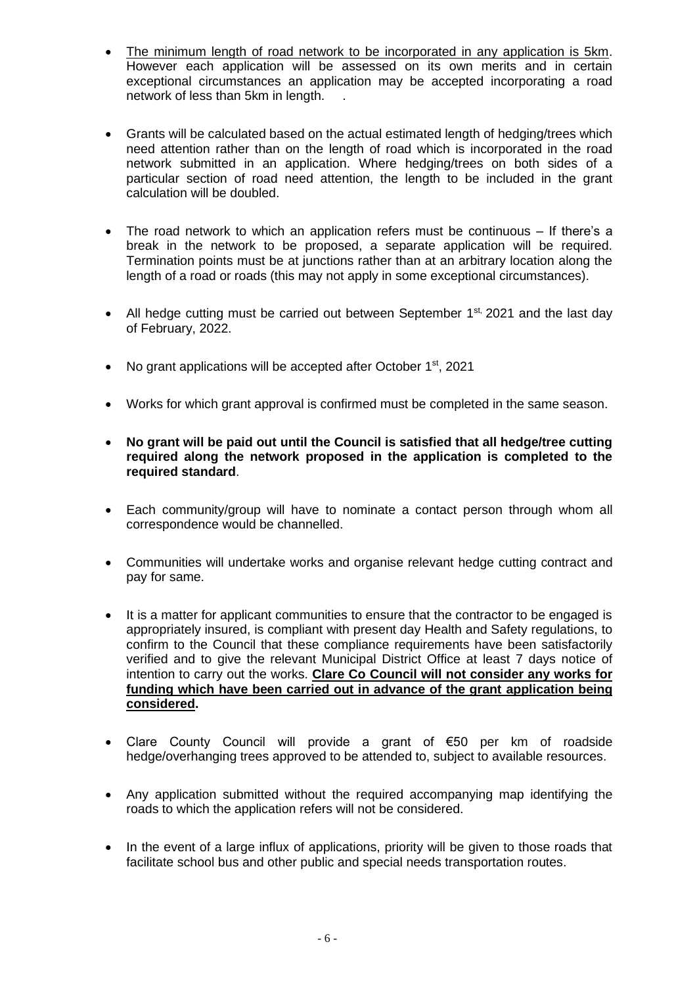- The minimum length of road network to be incorporated in any application is 5km. However each application will be assessed on its own merits and in certain exceptional circumstances an application may be accepted incorporating a road network of less than 5km in length. .
- Grants will be calculated based on the actual estimated length of hedging/trees which need attention rather than on the length of road which is incorporated in the road network submitted in an application. Where hedging/trees on both sides of a particular section of road need attention, the length to be included in the grant calculation will be doubled.
- The road network to which an application refers must be continuous If there's a break in the network to be proposed, a separate application will be required. Termination points must be at junctions rather than at an arbitrary location along the length of a road or roads (this may not apply in some exceptional circumstances).
- All hedge cutting must be carried out between September  $1^{st}$ , 2021 and the last day of February, 2022.
- No grant applications will be accepted after October 1<sup>st</sup>, 2021
- Works for which grant approval is confirmed must be completed in the same season.
- **No grant will be paid out until the Council is satisfied that all hedge/tree cutting required along the network proposed in the application is completed to the required standard**.
- Each community/group will have to nominate a contact person through whom all correspondence would be channelled.
- Communities will undertake works and organise relevant hedge cutting contract and pay for same.
- It is a matter for applicant communities to ensure that the contractor to be engaged is appropriately insured, is compliant with present day Health and Safety regulations, to confirm to the Council that these compliance requirements have been satisfactorily verified and to give the relevant Municipal District Office at least 7 days notice of intention to carry out the works. **Clare Co Council will not consider any works for funding which have been carried out in advance of the grant application being considered.**
- Clare County Council will provide a grant of €50 per km of roadside hedge/overhanging trees approved to be attended to, subject to available resources.
- Any application submitted without the required accompanying map identifying the roads to which the application refers will not be considered.
- In the event of a large influx of applications, priority will be given to those roads that facilitate school bus and other public and special needs transportation routes.